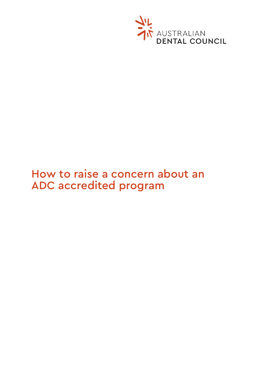

# How to raise a concern about an ADC accredited program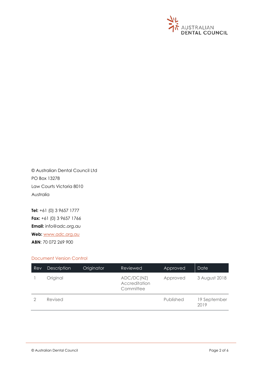

© Australian Dental Council Ltd PO Box 13278 Law Courts Victoria 8010 Australia

**Tel:** +61 (0) 3 9657 1777 **Fax:** +61 (0) 3 9657 1766 **Email:** [info@adc.org.au](mailto:info@adc.org.au) **Web:** [www.adc.org.au](http://www.adc.org.au/) **ABN**: 70 072 269 900

#### Document Version Control

| Rev | <b>Description</b> | Originator | Reviewed                                 | Approved  | Date                 |
|-----|--------------------|------------|------------------------------------------|-----------|----------------------|
|     | Original           |            | ADC/DC(NZ)<br>Accreditation<br>Committee | Approved  | 3 August 2018        |
|     | Revised            |            |                                          | Published | 19 September<br>2019 |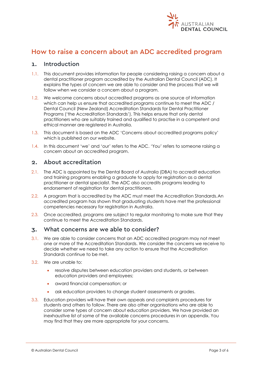

# How to raise a concern about an ADC accredited program

#### 1. Introduction

- 1.1. This document provides information for people considering raising a concern about a dental practitioner program accredited by the Australian Dental Council (ADC). It explains the types of concern we are able to consider and the process that we will follow when we consider a concern about a program.
- 1.2. We welcome concerns about accredited programs as one source of information which can help us ensure that accredited programs continue to meet the ADC / Dental Council (New Zealand) Accreditation Standards for Dental Practitioner Programs ('the Accreditation Standards'). This helps ensure that only dental practitioners who are suitably trained and qualified to practise in a competent and ethical manner are registered in Australia.
- 1.3. This document is based on the ADC 'Concerns about accredited programs policy' which is published on our website.
- 1.4. In this document 'we' and 'our' refers to the ADC. 'You' refers to someone raising a concern about an accredited program.

## 2. About accreditation

- 2.1. The ADC is appointed by the Dental Board of Australia (DBA) to accredit education and training programs enabling a graduate to apply for registration as a dental practitioner or dental specialist. The ADC also accredits programs leading to endorsement of registration for dental practitioners.
- 2.2. A program that is accredited by the ADC must meet the Accreditation Standards.An accredited program has shown that graduating students have met the professional competencies necessary for registration in Australia.
- 2.3. Once accredited, programs are subject to regular monitoring to make sure that they continue to meet the Accreditation Standards.

#### 3. What concerns are we able to consider?

- 3.1. We are able to consider concerns that an ADC accredited program may not meet one or more of the Accreditation Standards. We consider the concerns we receive to decide whether we need to take any action to ensure that the Accreditation Standards continue to be met.
- 3.2. We are unable to:
	- resolve disputes between education providers and students, or between education providers and employees;
	- award financial compensation; or
	- ask education providers to change student assessments or grades.
- 3.3. Education providers will have their own appeals and complaints procedures for students and others to follow. There are also other organisations who are able to consider some types of concern about education providers. We have provided an inexhaustive list of some of the available concerns procedures in an appendix. You may find that they are more appropriate for your concerns.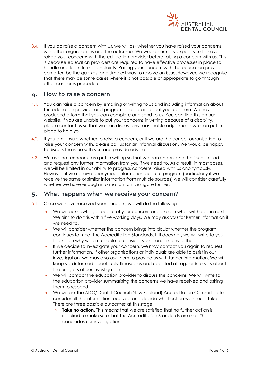

3.4. If you do raise a concern with us, we will ask whether you have raised your concerns with other organisations and the outcome. We would normally expect you to have raised your concerns with the education provider before raising a concern with us. This is because education providers are required to have effective processes in place to handle and learn from complaints. Raising your concern with the education provider can often be the quickest and simplest way to resolve an issue.However, we recognise that there may be some cases where it is not possible or appropriate to go through other concerns procedures.

#### 4. How to raise a concern

- 4.1. You can raise a concern by emailing or writing to us and including information about the education provider and program and details about your concern. We have produced a form that you can complete and send to us. You can find this on our website. If you are unable to put your concerns in writing because of a disability, please contact us so that we can discuss any reasonable adjustments we can put in place to help you.
- 4.2. If you are unsure whether to raise a concern, or if we are the correct organisation to raise your concern with, please call us for an informal discussion. We would be happy to discuss the issue with you and provide advice.
- 4.3. We ask that concerns are put in writing so that we can understand the issues raised and request any further information from you if we need to. As a result, in most cases, we will be limited in our ability to progress concerns raised with us anonymously. However, if we receive anonymous information about a program (particularly if we receive the same or similar information from multiple sources) we will consider carefully whether we have enough information to investigate further.

## 5. What happens when we receive your concern?

- 5.1. Once we have received your concern, we will do the following.
	- We will acknowledge receipt of your concern and explain what will happen next. We aim to do this within five working days. We may ask you for further information if we need to.
	- We will consider whether the concern brings into doubt whether the program continues to meet the Accreditation Standards. If it does not, we will write to you to explain why we are unable to consider your concern any further.
	- If we decide to investigate your concern, we may contact you again to request further information. If other organisations or individuals are able to assist in our investigation, we may also ask them to provide us with further information. We will keep you informed about likely timescales and updated at regular intervals about the progress of our investigation.
	- We will contact the education provider to discuss the concerns. We will write to the education provider summarising the concerns we have received and asking them to respond.
	- We will ask the ADC/ Dental Council (New Zealand) Accreditation Committee to consider all the information received and decide what action we should take. There are three possible outcomes at this stage:
		- **○ Take no action**. This means that we are satisfied that no further action is required to make sure that the Accreditation Standards are met. This concludes our investigation.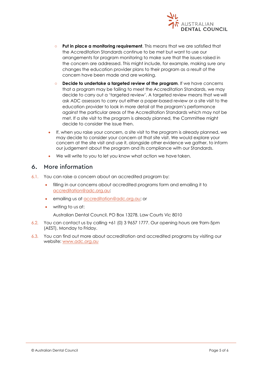

- **○ Put in place a monitoring requirement**. This means that we are satisfied that the Accreditation Standards continue to be met but want to use our arrangements for program monitoring to make sure that the issues raised in the concern are addressed. This might include, for example, making sure any changes the education provider plans to their program as a result of the concern have been made and are working.
- **○ Decide to undertake a targeted review of the program**. If we have concerns that a program may be failing to meet the Accreditation Standards, we may decide to carry out a 'targeted review'. A targeted review means that we will ask ADC assessors to carry out either a paper-based review or a site visit to the education provider to look in more detail at the program's performance against the particular areas of the Accreditation Standards which may not be met. If a site visit to the program is already planned, the Committee might decide to consider the issue then.
- If, when you raise your concern, a site visit to the program is already planned, we may decide to consider your concern at that site visit. We would explore your concern at the site visit and use it, alongside other evidence we gather, to inform our judgement about the program and its compliance with our Standards.
- We will write to you to let you know what action we have taken.

## 6. More information

- 6.1. You can raise a concern about an accredited program by:
	- filling in our concerns about accredited programs form and emailing it to [accreditation@adc.org.au;](mailto:accreditation@adc.org.au)
	- emailing us at [accreditation@adc.org.au;](mailto:accreditation@adc.org.au) or
	- writing to us at:

Australian Dental Council, PO Box 13278, Law Courts Vic 8010

- 6.2. You can contact us by calling +61 (0) 3 9657 1777. Our opening hours are 9am-5pm (AEST), Monday to Friday.
- 6.3. You can find out more about accreditation and accredited programs by visiting our website: [www.adc.org.au](http://www.adc.org.au/)